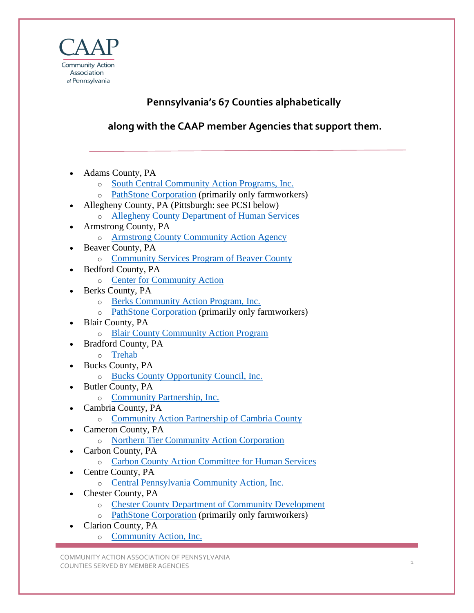

## **Pennsylvania's 67 Counties alphabetically**

**along with the CAAP member Agencies that support them.**

- Adams County, PA
	- o [South Central Community Action Programs, Inc.](https://www.thecaap.org/agency-info/agencies-programs-services.html/title/south-central-community-action-programs-inc-)
	- o [PathStone Corporation](https://www.thecaap.org/agency-info/agencies-programs-services.html/title/pathstone-corporation) (primarily only farmworkers)
- Allegheny County, PA (Pittsburgh: see PCSI below) o [Allegheny County Department of Human Services](https://www.thecaap.org/agency-info/agencies-programs-services.html/title/allegheny-county-department-of-human-services)
- Armstrong County, PA
	- o [Armstrong County Community Action Agency](https://www.thecaap.org/agency-info/agencies-programs-services.html/title/armstrong-county-community-action-agency)
- Beaver County, PA
	- o [Community Services Program of Beaver County](https://www.thecaap.org/agency-info/agencies-programs-services.html/title/-community-services-program-of-beaver-county)
- Bedford County, PA
	- o [Center for Community Action](https://www.thecaap.org/agency-info/agencies-programs-services.html/title/center-for-community-action)
- Berks County, PA
	- o [Berks Community Action Program, Inc.](https://www.thecaap.org/agency-info/agencies-programs-services.html/title/berks-community-action-program-inc-)
	- o [PathStone Corporation](https://www.thecaap.org/agency-info/agencies-programs-services.html/title/pathstone-corporation) (primarily only farmworkers)
- Blair County, PA
	- o [Blair County Community Action Program](https://www.thecaap.org/agency-info/agencies-programs-services.html/title/blair-county-community-action-program)
- Bradford County, PA
	- o [Trehab](https://www.thecaap.org/agency-info/agencies-programs-services.html/title/trehab)
- Bucks County, PA
	- o [Bucks County Opportunity Council, Inc.](https://www.thecaap.org/agency-info/agencies-programs-services.html/title/bucks-county-opportunity-council-inc-)
- Butler County, PA
	- o [Community Partnership, Inc.](https://www.thecaap.org/agency-info/agencies-programs-services.html/title/community-partnership-inc-)
- Cambria County, PA
	- o [Community Action Partnership of Cambria County](https://www.thecaap.org/agency-info/agencies-programs-services.html/title/community-action-partnership-of-cambria-county)
- Cameron County, PA
	- o [Northern Tier Community Action Corporation](https://www.thecaap.org/agency-info/agencies-programs-services.html/title/northern-tier-community-action-corporation)
- Carbon County, PA
	- o [Carbon County Action Committee for Human Services](https://www.thecaap.org/agency-info/agencies-programs-services.html/title/carbon-county-action-committee-for-human-services)
- Centre County, PA
	- o [Central Pennsylvania Community Action, Inc.](https://www.thecaap.org/agency-info/agencies-programs-services.html/title/central-pennsylvania-community-action-inc-)
- Chester County, PA
	- o [Chester County Department of Community Development](https://www.thecaap.org/agency-info/agencies-programs-services.html/title/chester-county-department-of-community-development)
	- o [PathStone Corporation](https://www.thecaap.org/agency-info/agencies-programs-services.html/title/pathstone-corporation) (primarily only farmworkers)
- Clarion County, PA
	- o [Community Action, Inc.](https://www.thecaap.org/agency-info/agencies-programs-services.html/title/community-action-inc-)

COMMUNITY ACTION ASSOCIATION OF PENNSYLVANIA COUNTIES SERVED BY MEMBER AGENCIES 30 AND 1 AND 1 AND 1 AND 1 AND 1 AND 1 AND 1 AND 1 AND 1 AND 1 AND 1 AND 1 AND 1 AND 1 AND 1 AND 1 AND 1 AND 1 AND 1 AND 1 AND 1 AND 1 AND 1 AND 1 AND 1 AND 1 AND 1 AND 1 AND 1 AND 1 AND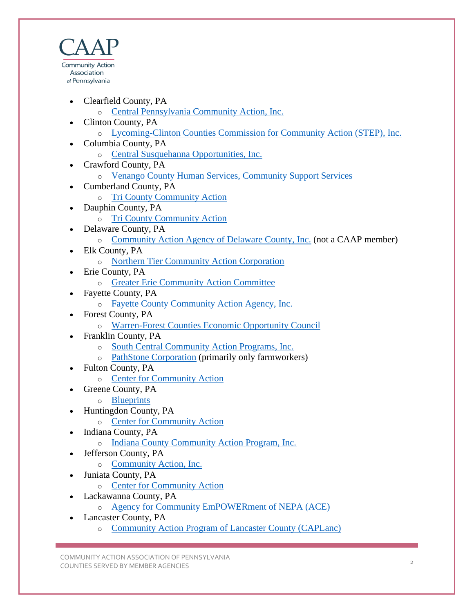

- Clearfield County, PA
	- o [Central Pennsylvania Community Action, Inc.](https://www.thecaap.org/agency-info/agencies-programs-services.html/title/central-pennsylvania-community-action-inc-)
- Clinton County, PA
	- o [Lycoming-Clinton Counties Commission for Community Action \(STEP\), Inc.](https://www.thecaap.org/agency-info/agencies-programs-services.html/title/lycoming-clinton-counties-commission-for-community-action-step-inc-)
- Columbia County, PA
	- o [Central Susquehanna Opportunities, Inc.](https://www.thecaap.org/agency-info/agencies-programs-services.html/title/central-susquehanna-opportunities-inc-)
- Crawford County, PA
	- o [Venango County Human Services, Community Support Services](https://www.thecaap.org/agency-info/agencies-programs-services.html/title/venango-county-human-services-community-support-services)
- Cumberland County, PA
	- o [Tri County Community Action](https://www.thecaap.org/agency-info/agencies-programs-services.html/title/tri-county-community-action)
- Dauphin County, PA
	- o [Tri County Community Action](https://www.thecaap.org/agency-info/agencies-programs-services.html/title/tri-county-community-action)
- Delaware County, PA
	- o [Community Action Agency of Delaware County, Inc.](https://caadc.org/) (not a CAAP member)
- Elk County, PA
	- o [Northern Tier Community Action Corporation](https://www.thecaap.org/agency-info/agencies-programs-services.html/title/northern-tier-community-action-corporation)
- Erie County, PA
	- o [Greater Erie Community Action Committee](https://www.thecaap.org/agency-info/agencies-programs-services.html/title/greater-erie-community-action-committee)
- Fayette County, PA
	- o [Fayette County Community Action Agency, Inc.](https://www.thecaap.org/agency-info/agencies-programs-services.html/title/fayette-county-community-action-agency-inc-)
- Forest County, PA
	- o [Warren-Forest Counties Economic Opportunity Council](https://www.thecaap.org/agency-info/agencies-programs-services.html/title/warren-forest-counties-economic-opportunity-council)
- Franklin County, PA
	- o [South Central Community Action Programs, Inc.](https://www.thecaap.org/agency-info/agencies-programs-services.html/title/south-central-community-action-programs-inc-)
	- o [PathStone Corporation](https://www.thecaap.org/agency-info/agencies-programs-services.html/title/pathstone-corporation) (primarily only farmworkers)
- Fulton County, PA
	- o [Center for Community Action](https://www.thecaap.org/agency-info/agencies-programs-services.html/title/center-for-community-action)
- Greene County, PA
	- o [Blueprints](https://www.thecaap.org/agency-info/agencies-programs-services.html/title/blueprints)
- Huntingdon County, PA
	- o [Center for Community Action](https://www.thecaap.org/agency-info/agencies-programs-services.html/title/center-for-community-action)
- Indiana County, PA
	- o [Indiana County Community Action Program, Inc.](https://www.thecaap.org/agency-info/agencies-programs-services.html/title/indiana-county-community-action-program-inc-)
- Jefferson County, PA
	- o [Community Action, Inc.](https://www.thecaap.org/agency-info/agencies-programs-services.html/title/community-action-inc-)
- Juniata County, PA
	- o [Center for Community Action](https://www.thecaap.org/agency-info/agencies-programs-services.html/title/center-for-community-action)
- Lackawanna County, PA
	- o [Agency for Community EmPOWERment of NEPA \(ACE\)](https://www.thecaap.org/agency-info/agencies-programs-services.html/title/agency-for-community-empowerment-of-nepa-ace-)
- Lancaster County, PA
	- o [Community Action Program of Lancaster County \(CAPLanc\)](https://www.thecaap.org/agency-info/agencies-programs-services.html/title/community-action-program-of-lancaster-county-caplanc-)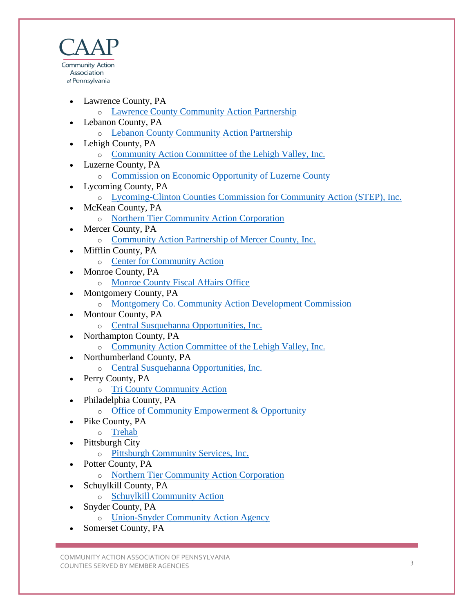

- Lawrence County, PA
	- o [Lawrence County Community Action](https://www.thecaap.org/agency-info/agencies-programs-services.html/title/lawrence-county-community-action-partnership) Partnership
- Lebanon County, PA
	- o [Lebanon County Community Action Partnership](https://www.thecaap.org/agency-info/agencies-programs-services.html/title/lebanon-county-community-action-partnership)
- Lehigh County, PA
	- o [Community Action Committee of the Lehigh Valley, Inc.](https://www.thecaap.org/agency-info/agencies-programs-services.html/title/community-action-committee-of-the-lehigh-valley-inc-)
- Luzerne County, PA
	- o [Commission on Economic Opportunity of Luzerne County](https://www.thecaap.org/agency-info/agencies-programs-services.html/title/commission-on-economic-opportunity-of-luzerne-county)
- Lycoming County, PA
	- o [Lycoming-Clinton Counties Commission for Community Action \(STEP\), Inc.](https://www.thecaap.org/agency-info/agencies-programs-services.html/title/lycoming-clinton-counties-commission-for-community-action-step-inc-)
- McKean County, PA
	- o [Northern Tier Community Action](https://www.thecaap.org/agency-info/agencies-programs-services.html/title/northern-tier-community-action-corporation) Corporation
- Mercer County, PA
	- o [Community Action Partnership of Mercer County, Inc.](https://www.thecaap.org/agency-info/agencies-programs-services.html/title/community-action-partnership-of-mercer-county-inc-)
- Mifflin County, PA
	- o [Center for Community Action](https://www.thecaap.org/agency-info/agencies-programs-services.html/title/center-for-community-action)
- Monroe County, PA
	- o [Monroe County Fiscal Affairs Office](https://www.thecaap.org/agency-info/agencies-programs-services.html/title/monroe-county-fiscal-affairs-office)
- Montgomery County, PA
	- o [Montgomery Co. Community Action Development Commission](https://www.thecaap.org/agency-info/agencies-programs-services.html/title/montgomery-co-community-action-development-commission)
- Montour County, PA
	- o [Central Susquehanna Opportunities, Inc.](https://www.thecaap.org/agency-info/agencies-programs-services.html/title/central-susquehanna-opportunities-inc-)
- Northampton County, PA
	- o [Community Action Committee](https://www.thecaap.org/agency-info/agencies-programs-services.html/title/community-action-committee-of-the-lehigh-valley-inc-) of the Lehigh Valley, Inc.
- Northumberland County, PA
	- o [Central Susquehanna Opportunities, Inc.](https://www.thecaap.org/agency-info/agencies-programs-services.html/title/central-susquehanna-opportunities-inc-)
- Perry County, PA
	- o [Tri County Community Action](https://www.thecaap.org/agency-info/agencies-programs-services.html/title/tri-county-community-action)
- Philadelphia County, PA
	- o [Office of Community Empowerment & Opportunity](https://www.thecaap.org/agency-info/agencies-programs-services.html/title/office-of-community-empowerment-opportunity)
- Pike County, PA
	- o [Trehab](https://www.thecaap.org/agency-info/agencies-programs-services.html/title/trehab)
	- Pittsburgh City
		- o [Pittsburgh Community Services, Inc.](https://www.thecaap.org/agency-info/agencies-programs-services.html/title/pittsburgh-community-services-inc-)
- Potter County, PA
	- o [Northern Tier Community Action Corporation](https://www.thecaap.org/agency-info/agencies-programs-services.html/title/northern-tier-community-action-corporation)
- Schuylkill County, PA
	- o [Schuylkill Community Action](https://www.thecaap.org/agency-info/agencies-programs-services.html/title/schuylkill-community-action)
- Snyder County, PA
	- o [Union-Snyder Community Action Agency](https://www.thecaap.org/agency-info/agencies-programs-services.html/title/union-snyder-community-action-agency)
- Somerset County, PA